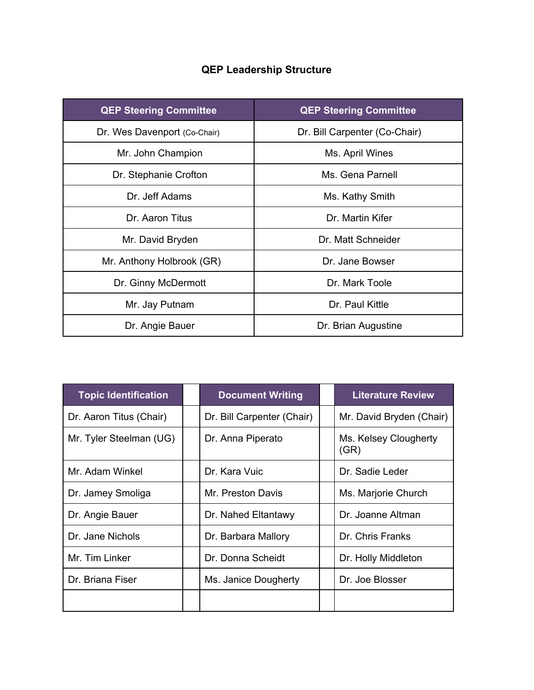# **QEP Leadership Structure**

| <b>QEP Steering Committee</b> | <b>QEP Steering Committee</b> |  |  |
|-------------------------------|-------------------------------|--|--|
| Dr. Wes Davenport (Co-Chair)  | Dr. Bill Carpenter (Co-Chair) |  |  |
| Mr. John Champion             | Ms. April Wines               |  |  |
| Dr. Stephanie Crofton         | Ms. Gena Parnell              |  |  |
| Dr. Jeff Adams                | Ms. Kathy Smith               |  |  |
| Dr. Aaron Titus               | Dr. Martin Kifer              |  |  |
| Mr. David Bryden              | Dr. Matt Schneider            |  |  |
| Mr. Anthony Holbrook (GR)     | Dr. Jane Bowser               |  |  |
| Dr. Ginny McDermott           | Dr. Mark Toole                |  |  |
| Mr. Jay Putnam                | Dr. Paul Kittle               |  |  |
| Dr. Angie Bauer               | Dr. Brian Augustine           |  |  |

| <b>Topic Identification</b> | <b>Document Writing</b>    | <b>Literature Review</b>      |
|-----------------------------|----------------------------|-------------------------------|
| Dr. Aaron Titus (Chair)     | Dr. Bill Carpenter (Chair) | Mr. David Bryden (Chair)      |
| Mr. Tyler Steelman (UG)     | Dr. Anna Piperato          | Ms. Kelsey Clougherty<br>(GR) |
| Mr. Adam Winkel             | Dr. Kara Vuic              | Dr. Sadie Leder               |
| Dr. Jamey Smoliga           | Mr. Preston Davis          | Ms. Marjorie Church           |
| Dr. Angie Bauer             | Dr. Nahed Eltantawy        | Dr. Joanne Altman             |
| Dr. Jane Nichols            | Dr. Barbara Mallory        | Dr. Chris Franks              |
| Mr. Tim Linker              | Dr. Donna Scheidt          | Dr. Holly Middleton           |
| Dr. Briana Fiser            | Ms. Janice Dougherty       | Dr. Joe Blosser               |
|                             |                            |                               |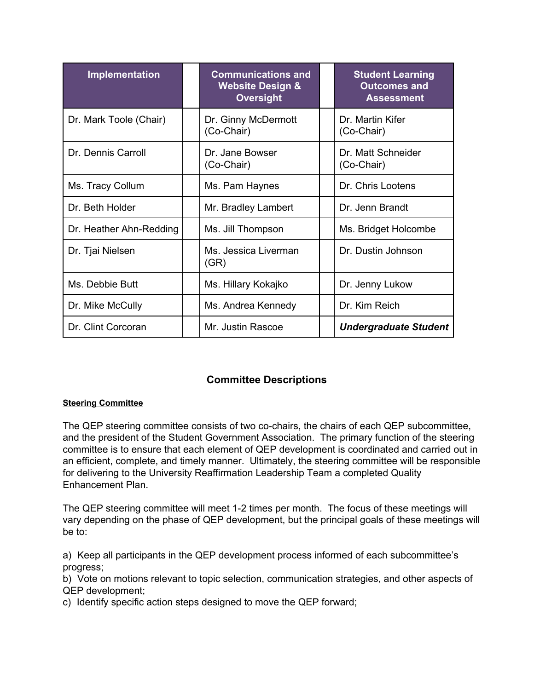| <b>Implementation</b>   | <b>Communications and</b><br><b>Website Design &amp;</b><br><b>Oversight</b> | <b>Student Learning</b><br><b>Outcomes and</b><br><b>Assessment</b> |
|-------------------------|------------------------------------------------------------------------------|---------------------------------------------------------------------|
| Dr. Mark Toole (Chair)  | Dr. Ginny McDermott<br>(Co-Chair)                                            | Dr. Martin Kifer<br>(Co-Chair)                                      |
| Dr. Dennis Carroll      | Dr. Jane Bowser<br>(Co-Chair)                                                | Dr. Matt Schneider<br>(Co-Chair)                                    |
| Ms. Tracy Collum        | Ms. Pam Haynes                                                               | Dr. Chris Lootens                                                   |
| Dr. Beth Holder         | Mr. Bradley Lambert                                                          | Dr. Jenn Brandt                                                     |
| Dr. Heather Ahn-Redding | Ms. Jill Thompson                                                            | Ms. Bridget Holcombe                                                |
| Dr. Tjai Nielsen        | Ms. Jessica Liverman<br>(GR)                                                 | Dr. Dustin Johnson                                                  |
| Ms. Debbie Butt         | Ms. Hillary Kokajko                                                          | Dr. Jenny Lukow                                                     |
| Dr. Mike McCully        | Ms. Andrea Kennedy                                                           | Dr. Kim Reich                                                       |
| Dr. Clint Corcoran      | Mr. Justin Rascoe                                                            | <b>Undergraduate Student</b>                                        |

# **Committee Descriptions**

# **Steering Committee**

The QEP steering committee consists of two co-chairs, the chairs of each QEP subcommittee, and the president of the Student Government Association. The primary function of the steering committee is to ensure that each element of QEP development is coordinated and carried out in an efficient, complete, and timely manner. Ultimately, the steering committee will be responsible for delivering to the University Reaffirmation Leadership Team a completed Quality Enhancement Plan.

The QEP steering committee will meet 1-2 times per month. The focus of these meetings will vary depending on the phase of QEP development, but the principal goals of these meetings will be to:

a) Keep all participants in the QEP development process informed of each subcommittee's progress;

b) Vote on motions relevant to topic selection, communication strategies, and other aspects of QEP development;

c) Identify specific action steps designed to move the QEP forward;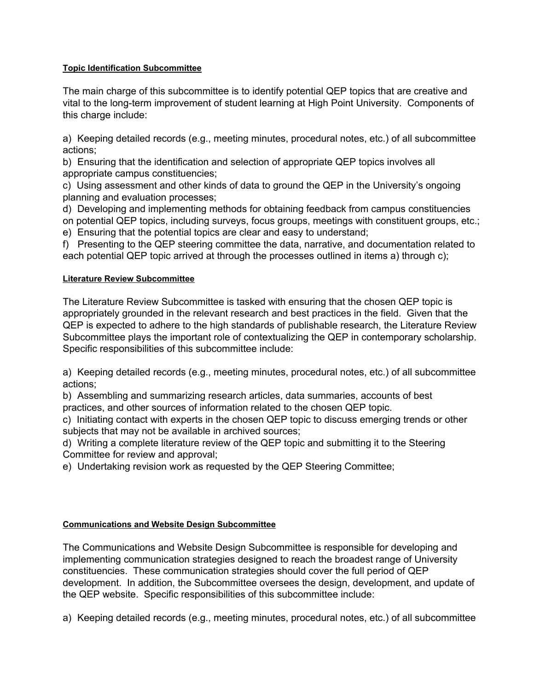# **Topic Identification Subcommittee**

The main charge of this subcommittee is to identify potential QEP topics that are creative and vital to the long-term improvement of student learning at High Point University. Components of this charge include:

a) Keeping detailed records (e.g., meeting minutes, procedural notes, etc.) of all subcommittee actions;

b) Ensuring that the identification and selection of appropriate QEP topics involves all appropriate campus constituencies;

c) Using assessment and other kinds of data to ground the QEP in the University's ongoing planning and evaluation processes;

d) Developing and implementing methods for obtaining feedback from campus constituencies

on potential QEP topics, including surveys, focus groups, meetings with constituent groups, etc.; e) Ensuring that the potential topics are clear and easy to understand;

f) Presenting to the QEP steering committee the data, narrative, and documentation related to each potential QEP topic arrived at through the processes outlined in items a) through c);

# **Literature Review Subcommittee**

The Literature Review Subcommittee is tasked with ensuring that the chosen QEP topic is appropriately grounded in the relevant research and best practices in the field. Given that the QEP is expected to adhere to the high standards of publishable research, the Literature Review Subcommittee plays the important role of contextualizing the QEP in contemporary scholarship. Specific responsibilities of this subcommittee include:

a) Keeping detailed records (e.g., meeting minutes, procedural notes, etc.) of all subcommittee actions;

b) Assembling and summarizing research articles, data summaries, accounts of best practices, and other sources of information related to the chosen QEP topic.

c) Initiating contact with experts in the chosen QEP topic to discuss emerging trends or other subjects that may not be available in archived sources;

d) Writing a complete literature review of the QEP topic and submitting it to the Steering Committee for review and approval;

e) Undertaking revision work as requested by the QEP Steering Committee;

# **Communications and Website Design Subcommittee**

The Communications and Website Design Subcommittee is responsible for developing and implementing communication strategies designed to reach the broadest range of University constituencies. These communication strategies should cover the full period of QEP development. In addition, the Subcommittee oversees the design, development, and update of the QEP website. Specific responsibilities of this subcommittee include:

a) Keeping detailed records (e.g., meeting minutes, procedural notes, etc.) of all subcommittee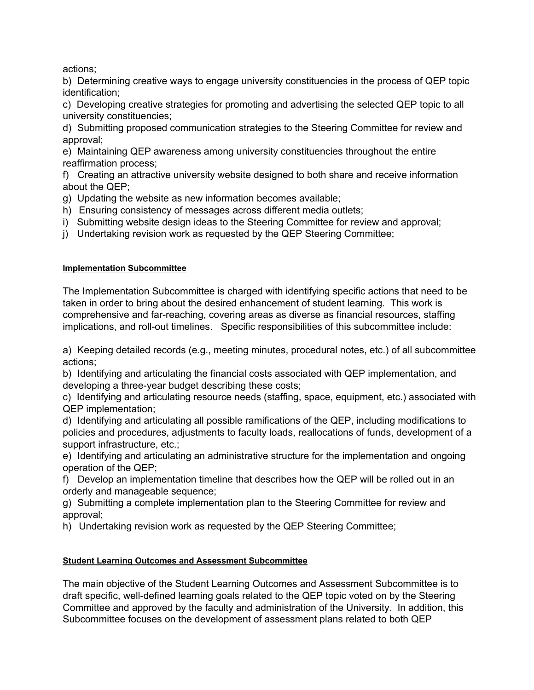actions;

b) Determining creative ways to engage university constituencies in the process of QEP topic identification;

c) Developing creative strategies for promoting and advertising the selected QEP topic to all university constituencies;

d) Submitting proposed communication strategies to the Steering Committee for review and approval;

e) Maintaining QEP awareness among university constituencies throughout the entire reaffirmation process;

f) Creating an attractive university website designed to both share and receive information about the QEP;

- g) Updating the website as new information becomes available;
- h) Ensuring consistency of messages across different media outlets;
- i) Submitting website design ideas to the Steering Committee for review and approval;
- j) Undertaking revision work as requested by the QEP Steering Committee;

# **Implementation Subcommittee**

The Implementation Subcommittee is charged with identifying specific actions that need to be taken in order to bring about the desired enhancement of student learning. This work is comprehensive and farreaching, covering areas as diverse as financial resources, staffing implications, and roll-out timelines. Specific responsibilities of this subcommittee include:

a) Keeping detailed records (e.g., meeting minutes, procedural notes, etc.) of all subcommittee actions;

b) Identifying and articulating the financial costs associated with QEP implementation, and developing a three-year budget describing these costs;

c) Identifying and articulating resource needs (staffing, space, equipment, etc.) associated with QEP implementation;

d) Identifying and articulating all possible ramifications of the QEP, including modifications to policies and procedures, adjustments to faculty loads, reallocations of funds, development of a support infrastructure, etc.;

e) Identifying and articulating an administrative structure for the implementation and ongoing operation of the QEP;

f) Develop an implementation timeline that describes how the QEP will be rolled out in an orderly and manageable sequence;

g) Submitting a complete implementation plan to the Steering Committee for review and approval;

h) Undertaking revision work as requested by the QEP Steering Committee;

# **Student Learning Outcomes and Assessment Subcommittee**

The main objective of the Student Learning Outcomes and Assessment Subcommittee is to draft specific, well-defined learning goals related to the QEP topic voted on by the Steering Committee and approved by the faculty and administration of the University. In addition, this Subcommittee focuses on the development of assessment plans related to both QEP